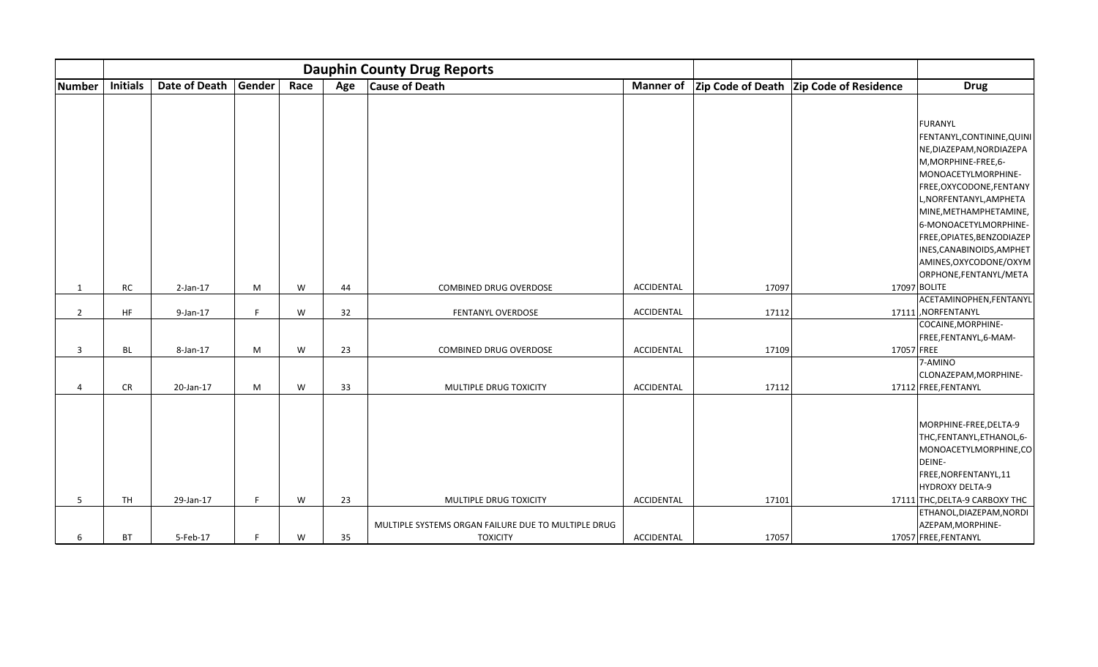|                |                 |               |        |      | <b>Dauphin County Drug Reports</b> |                                                                        |                  |       |                                         |                                                                                                                                                                                                                                                                                                                 |
|----------------|-----------------|---------------|--------|------|------------------------------------|------------------------------------------------------------------------|------------------|-------|-----------------------------------------|-----------------------------------------------------------------------------------------------------------------------------------------------------------------------------------------------------------------------------------------------------------------------------------------------------------------|
| <b>Number</b>  | <b>Initials</b> | Date of Death | Gender | Race | Age                                | <b>Cause of Death</b>                                                  | <b>Manner of</b> |       | Zip Code of Death Zip Code of Residence | <b>Drug</b>                                                                                                                                                                                                                                                                                                     |
|                |                 |               |        |      |                                    |                                                                        |                  |       |                                         | FURANYL<br>FENTANYL, CONTININE, QUINI<br>NE, DIAZEPAM, NORDIAZEPA<br>M, MORPHINE-FREE, 6-<br>MONOACETYLMORPHINE-<br>FREE, OXYCODONE, FENTANY<br>L, NORFENTANYL, AMPHETA<br>MINE, METHAMPHETAMINE,<br>6-MONOACETYLMORPHINE-<br>FREE, OPIATES, BENZODIAZEP<br>INES, CANABINOIDS, AMPHET<br>AMINES, OXYCODONE/OXYM |
| $\mathbf{1}$   | <b>RC</b>       | $2$ -Jan-17   | M      | W    | 44                                 | COMBINED DRUG OVERDOSE                                                 | ACCIDENTAL       | 17097 |                                         | ORPHONE, FENTANYL/META<br>17097 BOLITE                                                                                                                                                                                                                                                                          |
| $\overline{2}$ | HF              | 9-Jan-17      |        | W    | 32                                 | FENTANYL OVERDOSE                                                      | ACCIDENTAL       | 17112 |                                         | ACETAMINOPHEN, FENTANYL<br>17111 NORFENTANYL                                                                                                                                                                                                                                                                    |
| 3              | <b>BL</b>       | 8-Jan-17      | M      | W    | 23                                 | COMBINED DRUG OVERDOSE                                                 | ACCIDENTAL       | 17109 | 17057 FREE                              | COCAINE, MORPHINE-<br>FREE,FENTANYL,6-MAM-                                                                                                                                                                                                                                                                      |
| 4              | <b>CR</b>       | 20-Jan-17     | M      | W    | 33                                 | MULTIPLE DRUG TOXICITY                                                 | ACCIDENTAL       | 17112 |                                         | 7-AMINO<br>CLONAZEPAM, MORPHINE-<br>17112 FREE, FENTANYL                                                                                                                                                                                                                                                        |
| 5              | <b>TH</b>       | 29-Jan-17     |        | W    | 23                                 | MULTIPLE DRUG TOXICITY                                                 | ACCIDENTAL       | 17101 |                                         | MORPHINE-FREE, DELTA-9<br>THC,FENTANYL,ETHANOL,6-<br>MONOACETYLMORPHINE,CO<br>DEINE-<br>FREE, NORFENTANYL, 11<br>HYDROXY DELTA-9<br>17111 THC, DELTA-9 CARBOXY THC                                                                                                                                              |
| 6              | <b>BT</b>       | 5-Feb-17      | F      | W    | 35                                 | MULTIPLE SYSTEMS ORGAN FAILURE DUE TO MULTIPLE DRUG<br><b>TOXICITY</b> | ACCIDENTAL       | 17057 |                                         | ETHANOL, DIAZEPAM, NORDI<br>AZEPAM, MORPHINE-<br>17057 FREE, FENTANYL                                                                                                                                                                                                                                           |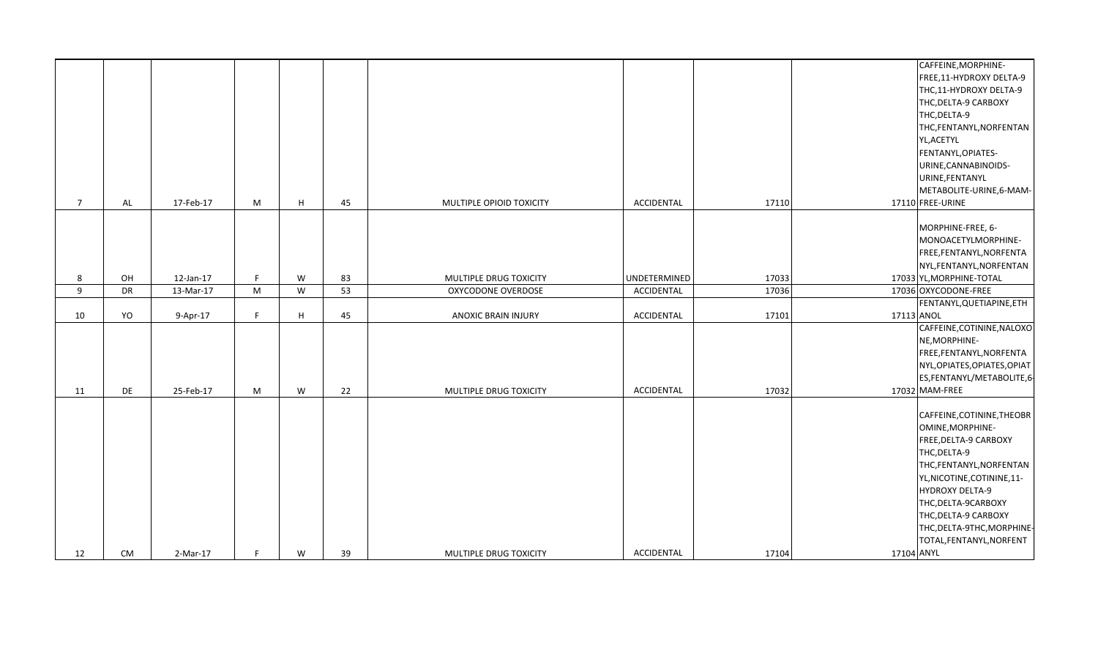|             |           |           |    |    |    |                            |                   |       | CAFFEINE, MORPHINE-          |
|-------------|-----------|-----------|----|----|----|----------------------------|-------------------|-------|------------------------------|
|             |           |           |    |    |    |                            |                   |       | FREE, 11-HYDROXY DELTA-9     |
|             |           |           |    |    |    |                            |                   |       | THC,11-HYDROXY DELTA-9       |
|             |           |           |    |    |    |                            |                   |       | THC, DELTA-9 CARBOXY         |
|             |           |           |    |    |    |                            |                   |       | THC, DELTA-9                 |
|             |           |           |    |    |    |                            |                   |       | THC,FENTANYL,NORFENTAN       |
|             |           |           |    |    |    |                            |                   |       | YL, ACETYL                   |
|             |           |           |    |    |    |                            |                   |       | FENTANYL, OPIATES-           |
|             |           |           |    |    |    |                            |                   |       | URINE, CANNABINOIDS-         |
|             |           |           |    |    |    |                            |                   |       | URINE, FENTANYL              |
|             |           |           |    |    |    |                            |                   |       | METABOLITE-URINE, 6-MAM-     |
| $7^{\circ}$ | AL        | 17-Feb-17 | M  | H. | 45 | MULTIPLE OPIOID TOXICITY   | ACCIDENTAL        | 17110 | 17110 FREE-URINE             |
|             |           |           |    |    |    |                            |                   |       |                              |
|             |           |           |    |    |    |                            |                   |       | MORPHINE-FREE, 6-            |
|             |           |           |    |    |    |                            |                   |       | MONOACETYLMORPHINE-          |
|             |           |           |    |    |    |                            |                   |       | FREE,FENTANYL,NORFENTA       |
|             |           |           |    |    |    |                            |                   |       | NYL, FENTANYL, NORFENTAN     |
| 8           | OH        | 12-Jan-17 | F. | W  | 83 | MULTIPLE DRUG TOXICITY     | UNDETERMINED      | 17033 | 17033 YL, MORPHINE-TOTAL     |
| 9           | <b>DR</b> | 13-Mar-17 | M  | W  | 53 | OXYCODONE OVERDOSE         | ACCIDENTAL        | 17036 | 17036 OXYCODONE-FREE         |
|             |           |           |    |    |    |                            |                   |       | FENTANYL, QUETIAPINE, ETH    |
| 10          | YO        | 9-Apr-17  | F. | H. | 45 | <b>ANOXIC BRAIN INJURY</b> | ACCIDENTAL        | 17101 | 17113 ANOL                   |
|             |           |           |    |    |    |                            |                   |       | CAFFEINE, COTININE, NALOXO   |
|             |           |           |    |    |    |                            |                   |       | NE, MORPHINE-                |
|             |           |           |    |    |    |                            |                   |       | FREE, FENTANYL, NORFENTA     |
|             |           |           |    |    |    |                            |                   |       | NYL, OPIATES, OPIATES, OPIAT |
|             |           |           |    |    |    |                            |                   |       | ES, FENTANYL/METABOLITE, 6-  |
| 11          | DE        | 25-Feb-17 | M  | W  | 22 | MULTIPLE DRUG TOXICITY     | <b>ACCIDENTAL</b> | 17032 | 17032 MAM-FREE               |
|             |           |           |    |    |    |                            |                   |       |                              |
|             |           |           |    |    |    |                            |                   |       | CAFFEINE, COTININE, THEOBR   |
|             |           |           |    |    |    |                            |                   |       | OMINE, MORPHINE-             |
|             |           |           |    |    |    |                            |                   |       | <b>FREE, DELTA-9 CARBOXY</b> |
|             |           |           |    |    |    |                            |                   |       | THC, DELTA-9                 |
|             |           |           |    |    |    |                            |                   |       | THC, FENTANYL, NORFENTAN     |
|             |           |           |    |    |    |                            |                   |       | YL, NICOTINE, COTININE, 11-  |
|             |           |           |    |    |    |                            |                   |       | HYDROXY DELTA-9              |
|             |           |           |    |    |    |                            |                   |       | THC, DELTA-9CARBOXY          |
|             |           |           |    |    |    |                            |                   |       | THC, DELTA-9 CARBOXY         |
|             |           |           |    |    |    |                            |                   |       | THC, DELTA-9THC, MORPHINE-   |
|             |           |           |    |    |    |                            |                   |       | TOTAL, FENTANYL, NORFENT     |
| 12          | <b>CM</b> | 2-Mar-17  | F. | W  | 39 | MULTIPLE DRUG TOXICITY     | ACCIDENTAL        | 17104 | 17104 ANYL                   |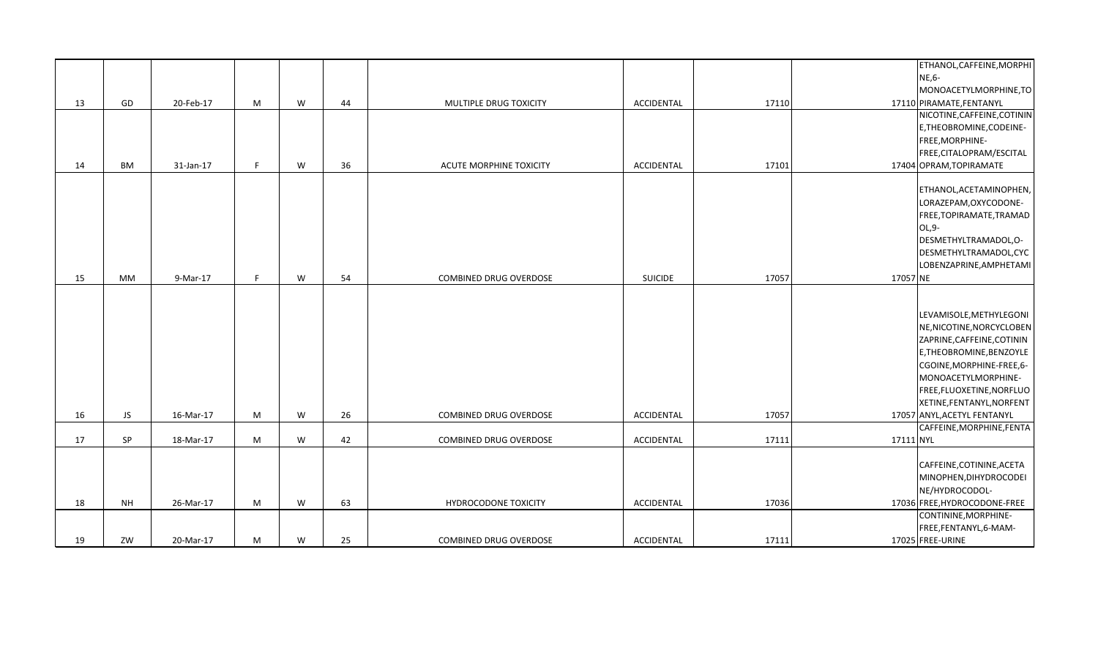|    |           |           |   |   |    |                                |                |       |           | ETHANOL, CAFFEINE, MORPHI    |
|----|-----------|-----------|---|---|----|--------------------------------|----------------|-------|-----------|------------------------------|
|    |           |           |   |   |    |                                |                |       |           | NE,6-                        |
|    |           |           |   |   |    |                                |                |       |           | MONOACETYLMORPHINE, TO       |
| 13 | GD        | 20-Feb-17 | M | W | 44 | MULTIPLE DRUG TOXICITY         | ACCIDENTAL     | 17110 |           | 17110 PIRAMATE, FENTANYL     |
|    |           |           |   |   |    |                                |                |       |           | NICOTINE, CAFFEINE, COTININ  |
|    |           |           |   |   |    |                                |                |       |           | E, THEOBROMINE, CODEINE-     |
|    |           |           |   |   |    |                                |                |       |           | FREE, MORPHINE-              |
|    |           |           |   |   |    |                                |                |       |           | FREE, CITALOPRAM/ESCITAL     |
| 14 | BM        | 31-Jan-17 | F | W | 36 | <b>ACUTE MORPHINE TOXICITY</b> | ACCIDENTAL     | 17101 |           | 17404 OPRAM, TOPIRAMATE      |
|    |           |           |   |   |    |                                |                |       |           |                              |
|    |           |           |   |   |    |                                |                |       |           | ETHANOL, ACETAMINOPHEN,      |
|    |           |           |   |   |    |                                |                |       |           | LORAZEPAM, OXYCODONE-        |
|    |           |           |   |   |    |                                |                |       |           | FREE, TOPIRAMATE, TRAMAD     |
|    |           |           |   |   |    |                                |                |       |           | OL,9-                        |
|    |           |           |   |   |    |                                |                |       |           | DESMETHYLTRAMADOL, O-        |
|    |           |           |   |   |    |                                |                |       |           | DESMETHYLTRAMADOL, CYC       |
|    |           |           |   |   |    |                                |                |       |           | LOBENZAPRINE, AMPHETAMI      |
| 15 | MM        | 9-Mar-17  | F | W | 54 | COMBINED DRUG OVERDOSE         | <b>SUICIDE</b> | 17057 | 17057 NE  |                              |
|    |           |           |   |   |    |                                |                |       |           |                              |
|    |           |           |   |   |    |                                |                |       |           |                              |
|    |           |           |   |   |    |                                |                |       |           | LEVAMISOLE, METHYLEGONI      |
|    |           |           |   |   |    |                                |                |       |           | NE, NICOTINE, NORCYCLOBEN    |
|    |           |           |   |   |    |                                |                |       |           | ZAPRINE, CAFFEINE, COTININ   |
|    |           |           |   |   |    |                                |                |       |           | E, THEOBROMINE, BENZOYLE     |
|    |           |           |   |   |    |                                |                |       |           | CGOINE, MORPHINE-FREE, 6-    |
|    |           |           |   |   |    |                                |                |       |           | MONOACETYLMORPHINE-          |
|    |           |           |   |   |    |                                |                |       |           | FREE, FLUOXETINE, NORFLUO    |
|    |           |           |   |   |    |                                |                |       |           | XETINE, FENTANYL, NORFENT    |
| 16 | JS        | 16-Mar-17 | M | W | 26 | COMBINED DRUG OVERDOSE         | ACCIDENTAL     | 17057 |           | 17057 ANYL, ACETYL FENTANYL  |
|    |           |           |   |   |    |                                |                |       |           | CAFFEINE, MORPHINE, FENTA    |
| 17 | SP        | 18-Mar-17 | M | W | 42 | COMBINED DRUG OVERDOSE         | ACCIDENTAL     | 17111 | 17111 NYL |                              |
|    |           |           |   |   |    |                                |                |       |           |                              |
|    |           |           |   |   |    |                                |                |       |           | CAFFEINE, COTININE, ACETA    |
|    |           |           |   |   |    |                                |                |       |           | MINOPHEN, DIHYDROCODEI       |
|    |           |           |   |   |    |                                |                |       |           | NE/HYDROCODOL-               |
| 18 | <b>NH</b> | 26-Mar-17 | M | W | 63 | HYDROCODONE TOXICITY           | ACCIDENTAL     | 17036 |           | 17036 FREE, HYDROCODONE-FREE |
|    |           |           |   |   |    |                                |                |       |           | CONTININE, MORPHINE-         |
|    |           |           |   |   |    |                                |                |       |           | FREE,FENTANYL,6-MAM-         |
| 19 | ZW        | 20-Mar-17 | M | W | 25 | <b>COMBINED DRUG OVERDOSE</b>  | ACCIDENTAL     | 17111 |           | 17025 FREE-URINE             |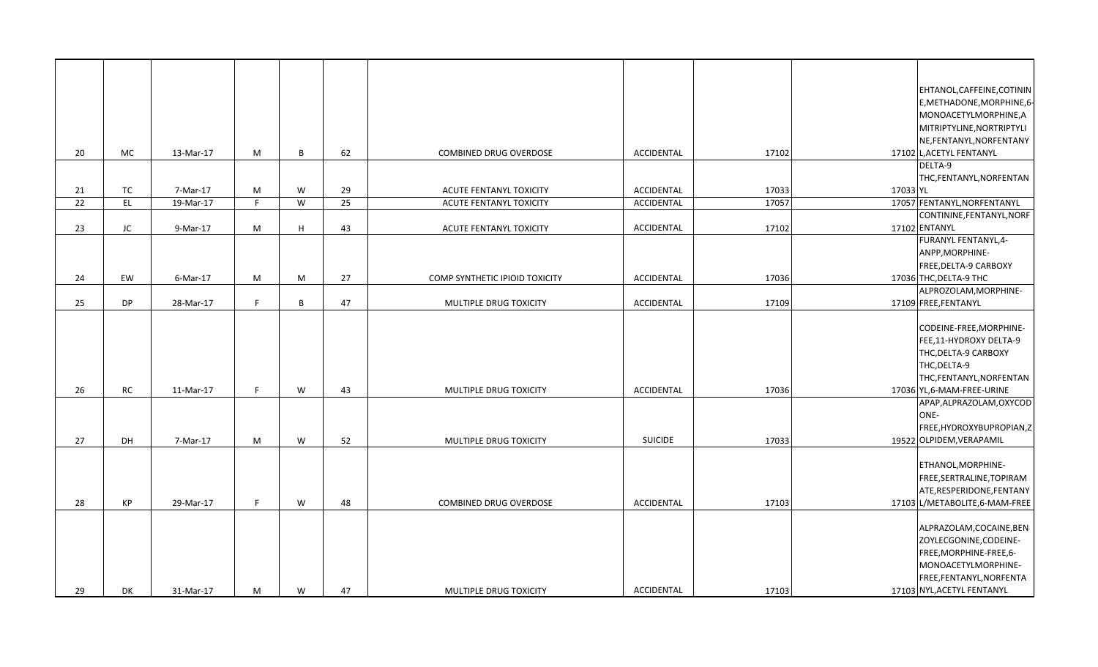|                 |           |           |   |   |                 |                                |                |       |          | EHTANOL, CAFFEINE, COTININ                 |
|-----------------|-----------|-----------|---|---|-----------------|--------------------------------|----------------|-------|----------|--------------------------------------------|
|                 |           |           |   |   |                 |                                |                |       |          | E, METHADONE, MORPHINE, 6-                 |
|                 |           |           |   |   |                 |                                |                |       |          | MONOACETYLMORPHINE, A                      |
|                 |           |           |   |   |                 |                                |                |       |          | MITRIPTYLINE, NORTRIPTYLI                  |
|                 |           |           |   |   |                 |                                |                |       |          | NE, FENTANYL, NORFENTANY                   |
| 20              | MC        | 13-Mar-17 | M | B | 62              | COMBINED DRUG OVERDOSE         | ACCIDENTAL     | 17102 |          | 17102 L, ACETYL FENTANYL                   |
|                 |           |           |   |   |                 |                                |                |       |          | DELTA-9                                    |
|                 |           |           |   |   |                 |                                |                |       |          | THC, FENTANYL, NORFENTAN                   |
| 21              | TC        | 7-Mar-17  | M | W | 29              | ACUTE FENTANYL TOXICITY        | ACCIDENTAL     | 17033 | 17033 YL |                                            |
| $\overline{22}$ | EL        | 19-Mar-17 | E | W | $\overline{25}$ | ACUTE FENTANYL TOXICITY        | ACCIDENTAL     | 17057 |          | 17057 FENTANYL, NORFENTANYL                |
| 23              | JC        | 9-Mar-17  | M | H | 43              | ACUTE FENTANYL TOXICITY        | ACCIDENTAL     | 17102 |          | CONTININE, FENTANYL, NORF<br>17102 ENTANYL |
|                 |           |           |   |   |                 |                                |                |       |          | FURANYL FENTANYL, 4-                       |
|                 |           |           |   |   |                 |                                |                |       |          | ANPP, MORPHINE-                            |
|                 |           |           |   |   |                 |                                |                |       |          | <b>FREE, DELTA-9 CARBOXY</b>               |
| 24              | EW        | 6-Mar-17  | M | M | 27              | COMP SYNTHETIC IPIOID TOXICITY | ACCIDENTAL     | 17036 |          | 17036 THC, DELTA-9 THC                     |
|                 |           |           |   |   |                 |                                |                |       |          | ALPROZOLAM, MORPHINE-                      |
| 25              | DP        | 28-Mar-17 | F | B | 47              | MULTIPLE DRUG TOXICITY         | ACCIDENTAL     | 17109 |          | 17109 FREE, FENTANYL                       |
|                 |           |           |   |   |                 |                                |                |       |          |                                            |
|                 |           |           |   |   |                 |                                |                |       |          | CODEINE-FREE, MORPHINE-                    |
|                 |           |           |   |   |                 |                                |                |       |          | FEE,11-HYDROXY DELTA-9                     |
|                 |           |           |   |   |                 |                                |                |       |          | THC, DELTA-9 CARBOXY                       |
|                 |           |           |   |   |                 |                                |                |       |          | THC, DELTA-9<br>THC,FENTANYL,NORFENTAN     |
| 26              | <b>RC</b> | 11-Mar-17 | F | W | 43              | MULTIPLE DRUG TOXICITY         | ACCIDENTAL     | 17036 |          | 17036 YL, 6-MAM-FREE-URINE                 |
|                 |           |           |   |   |                 |                                |                |       |          | APAP,ALPRAZOLAM,OXYCOD                     |
|                 |           |           |   |   |                 |                                |                |       |          | ONE-                                       |
|                 |           |           |   |   |                 |                                |                |       |          | FREE, HYDROXYBUPROPIAN, Z                  |
| 27              | DH        | 7-Mar-17  | M | W | 52              | MULTIPLE DRUG TOXICITY         | <b>SUICIDE</b> | 17033 |          | 19522 OLPIDEM, VERAPAMIL                   |
|                 |           |           |   |   |                 |                                |                |       |          |                                            |
|                 |           |           |   |   |                 |                                |                |       |          | ETHANOL, MORPHINE-                         |
|                 |           |           |   |   |                 |                                |                |       |          | FREE, SERTRALINE, TOPIRAM                  |
|                 |           |           |   |   |                 |                                |                |       |          | ATE, RESPERIDONE, FENTANY                  |
| 28              | KP        | 29-Mar-17 | F | W | 48              | COMBINED DRUG OVERDOSE         | ACCIDENTAL     | 17103 |          | 17103 L/METABOLITE, 6-MAM-FREE             |
|                 |           |           |   |   |                 |                                |                |       |          | ALPRAZOLAM, COCAINE, BEN                   |
|                 |           |           |   |   |                 |                                |                |       |          | ZOYLECGONINE, CODEINE-                     |
|                 |           |           |   |   |                 |                                |                |       |          | FREE, MORPHINE-FREE, 6-                    |
|                 |           |           |   |   |                 |                                |                |       |          | MONOACETYLMORPHINE-                        |
|                 |           |           |   |   |                 |                                |                |       |          | FREE, FENTANYL, NORFENTA                   |
| 29              | <b>DK</b> | 31-Mar-17 | M | W | 47              | MULTIPLE DRUG TOXICITY         | ACCIDENTAL     | 17103 |          | 17103 NYL, ACETYL FENTANYL                 |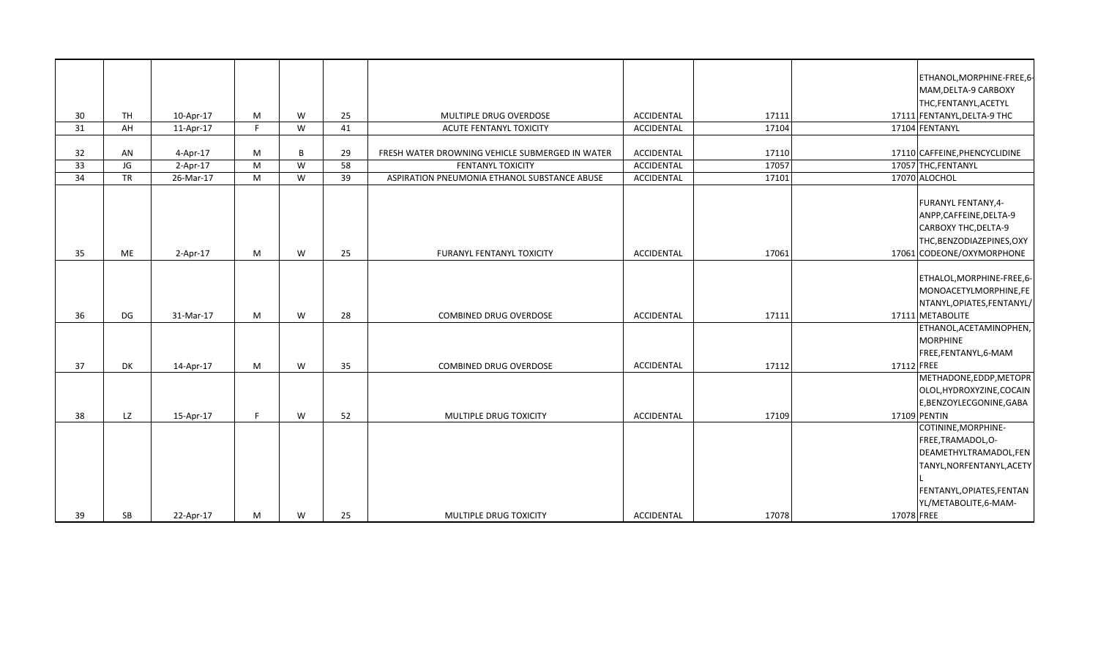|    |           |            |                |   |    |                                                 |            |       |            | ETHANOL, MORPHINE-FREE, 6-    |
|----|-----------|------------|----------------|---|----|-------------------------------------------------|------------|-------|------------|-------------------------------|
|    |           |            |                |   |    |                                                 |            |       |            | MAM, DELTA-9 CARBOXY          |
|    |           |            |                |   |    |                                                 |            |       |            | THC, FENTANYL, ACETYL         |
| 30 | <b>TH</b> | 10-Apr-17  | M              | W | 25 | MULTIPLE DRUG OVERDOSE                          | ACCIDENTAL | 17111 |            | 17111 FENTANYL, DELTA-9 THC   |
| 31 | AH        | 11-Apr-17  | $\blacksquare$ | W | 41 | ACUTE FENTANYL TOXICITY                         | ACCIDENTAL | 17104 |            | 17104 FENTANYL                |
|    |           |            |                |   |    |                                                 |            |       |            |                               |
| 32 | AN        | 4-Apr-17   | M              | B | 29 | FRESH WATER DROWNING VEHICLE SUBMERGED IN WATER | ACCIDENTAL | 17110 |            | 17110 CAFFEINE, PHENCYCLIDINE |
| 33 | JG        | $2-Apr-17$ | M              | W | 58 | FENTANYL TOXICITY                               | ACCIDENTAL | 17057 |            | 17057 THC, FENTANYL           |
| 34 | <b>TR</b> | 26-Mar-17  | M              | W | 39 | ASPIRATION PNEUMONIA ETHANOL SUBSTANCE ABUSE    | ACCIDENTAL | 17101 |            | 17070 ALOCHOL                 |
|    |           |            |                |   |    |                                                 |            |       |            |                               |
|    |           |            |                |   |    |                                                 |            |       |            | <b>FURANYL FENTANY, 4-</b>    |
|    |           |            |                |   |    |                                                 |            |       |            | ANPP, CAFFEINE, DELTA-9       |
|    |           |            |                |   |    |                                                 |            |       |            | CARBOXY THC, DELTA-9          |
|    |           |            |                |   |    |                                                 |            |       |            | THC, BENZODIAZEPINES, OXY     |
| 35 | ME        | $2-Apr-17$ | М              | W | 25 | FURANYL FENTANYL TOXICITY                       | ACCIDENTAL | 17061 |            | 17061 CODEONE/OXYMORPHONE     |
|    |           |            |                |   |    |                                                 |            |       |            |                               |
|    |           |            |                |   |    |                                                 |            |       |            | ETHALOL, MORPHINE-FREE, 6-    |
|    |           |            |                |   |    |                                                 |            |       |            | MONOACETYLMORPHINE,FE         |
|    |           |            |                |   |    |                                                 |            |       |            | NTANYL, OPIATES, FENTANYL/    |
| 36 | DG        | 31-Mar-17  | M              | W | 28 | <b>COMBINED DRUG OVERDOSE</b>                   | ACCIDENTAL | 17111 |            | 17111 METABOLITE              |
|    |           |            |                |   |    |                                                 |            |       |            | ETHANOL, ACETAMINOPHEN,       |
|    |           |            |                |   |    |                                                 |            |       |            | <b>MORPHINE</b>               |
|    |           |            |                |   |    |                                                 |            |       |            | FREE,FENTANYL,6-MAM           |
| 37 | DK        | 14-Apr-17  | M              | W | 35 | COMBINED DRUG OVERDOSE                          | ACCIDENTAL | 17112 | 17112 FREE |                               |
|    |           |            |                |   |    |                                                 |            |       |            | METHADONE, EDDP, METOPR       |
|    |           |            |                |   |    |                                                 |            |       |            | OLOL, HYDROXYZINE, COCAIN     |
|    |           |            |                |   |    |                                                 |            |       |            | E,BENZOYLECGONINE,GABA        |
| 38 | LZ        | 15-Apr-17  | F.             | W | 52 | MULTIPLE DRUG TOXICITY                          | ACCIDENTAL | 17109 |            | 17109 PENTIN                  |
|    |           |            |                |   |    |                                                 |            |       |            | COTININE, MORPHINE-           |
|    |           |            |                |   |    |                                                 |            |       |            | FREE, TRAMADOL, O-            |
|    |           |            |                |   |    |                                                 |            |       |            | DEAMETHYLTRAMADOL,FEN         |
|    |           |            |                |   |    |                                                 |            |       |            | TANYL, NORFENTANYL, ACETY     |
|    |           |            |                |   |    |                                                 |            |       |            |                               |
|    |           |            |                |   |    |                                                 |            |       |            | FENTANYL, OPIATES, FENTAN     |
|    |           |            |                |   |    |                                                 |            |       |            | YL/METABOLITE, 6-MAM-         |
| 39 | <b>SB</b> | 22-Apr-17  | М              | W | 25 | MULTIPLE DRUG TOXICITY                          | ACCIDENTAL | 17078 | 17078 FREE |                               |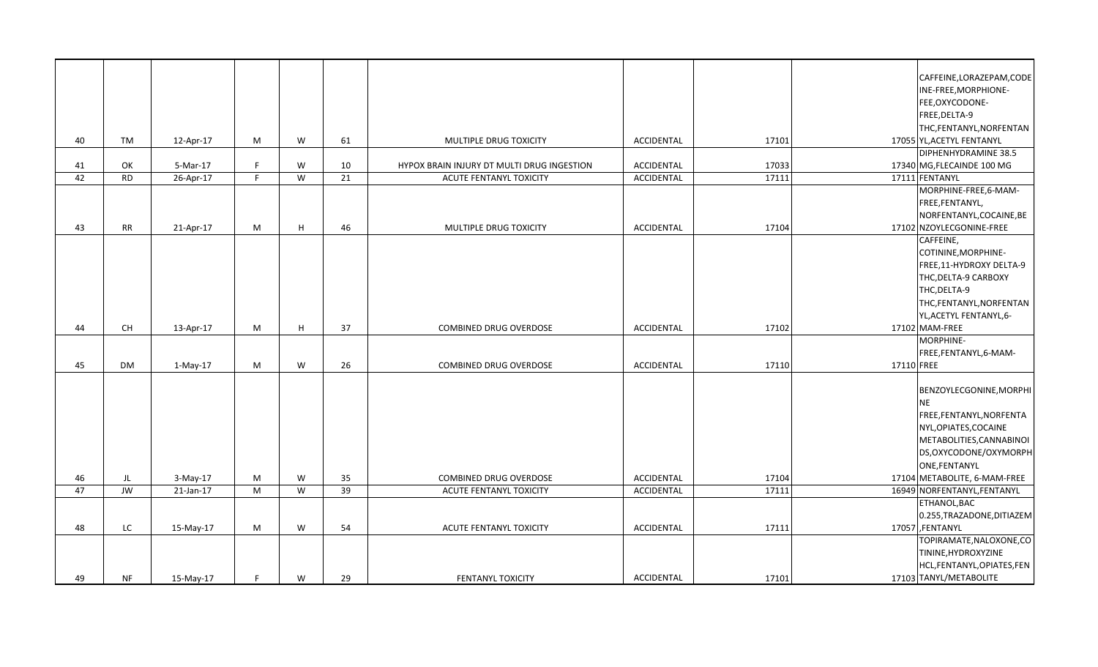|    |           |            |    |   |    |                                            |                   |       |            | CAFFEINE,LORAZEPAM,CODE      |
|----|-----------|------------|----|---|----|--------------------------------------------|-------------------|-------|------------|------------------------------|
|    |           |            |    |   |    |                                            |                   |       |            | INE-FREE, MORPHIONE-         |
|    |           |            |    |   |    |                                            |                   |       |            | FEE,OXYCODONE-               |
|    |           |            |    |   |    |                                            |                   |       |            | FREE, DELTA-9                |
|    |           |            |    |   |    |                                            |                   |       |            | THC, FENTANYL, NORFENTAN     |
| 40 | TM        | 12-Apr-17  | M  | W | 61 | MULTIPLE DRUG TOXICITY                     | ACCIDENTAL        | 17101 |            | 17055 YL, ACETYL FENTANYL    |
|    |           |            |    |   |    |                                            |                   |       |            | DIPHENHYDRAMINE 38.5         |
| 41 | OK        | 5-Mar-17   | F. | W | 10 | HYPOX BRAIN INJURY DT MULTI DRUG INGESTION | ACCIDENTAL        | 17033 |            | 17340 MG, FLECAINDE 100 MG   |
| 42 | <b>RD</b> | 26-Apr-17  | F  | W | 21 | ACUTE FENTANYL TOXICITY                    | ACCIDENTAL        | 17111 |            | 17111 FENTANYL               |
|    |           |            |    |   |    |                                            |                   |       |            | MORPHINE-FREE, 6-MAM-        |
|    |           |            |    |   |    |                                            |                   |       |            | FREE, FENTANYL,              |
|    |           |            |    |   |    |                                            |                   |       |            | NORFENTANYL, COCAINE, BE     |
| 43 | <b>RR</b> | 21-Apr-17  | M  | H | 46 | MULTIPLE DRUG TOXICITY                     | <b>ACCIDENTAL</b> | 17104 |            | 17102 NZOYLECGONINE-FREE     |
|    |           |            |    |   |    |                                            |                   |       |            | CAFFEINE,                    |
|    |           |            |    |   |    |                                            |                   |       |            | COTININE, MORPHINE-          |
|    |           |            |    |   |    |                                            |                   |       |            | FREE,11-HYDROXY DELTA-9      |
|    |           |            |    |   |    |                                            |                   |       |            | THC, DELTA-9 CARBOXY         |
|    |           |            |    |   |    |                                            |                   |       |            | THC, DELTA-9                 |
|    |           |            |    |   |    |                                            |                   |       |            | THC, FENTANYL, NORFENTAN     |
|    |           |            |    |   |    |                                            |                   |       |            | YL, ACETYL FENTANYL, 6-      |
| 44 | <b>CH</b> | 13-Apr-17  | M  | H | 37 | <b>COMBINED DRUG OVERDOSE</b>              | <b>ACCIDENTAL</b> | 17102 |            | 17102 MAM-FREE               |
|    |           |            |    |   |    |                                            |                   |       |            | MORPHINE-                    |
|    |           |            |    |   |    |                                            |                   |       |            | FREE, FENTANYL, 6-MAM-       |
| 45 | <b>DM</b> | $1-May-17$ | M  | W | 26 | <b>COMBINED DRUG OVERDOSE</b>              | ACCIDENTAL        | 17110 | 17110 FREE |                              |
|    |           |            |    |   |    |                                            |                   |       |            |                              |
|    |           |            |    |   |    |                                            |                   |       |            | BENZOYLECGONINE, MORPHI      |
|    |           |            |    |   |    |                                            |                   |       |            | <b>NE</b>                    |
|    |           |            |    |   |    |                                            |                   |       |            | FREE,FENTANYL,NORFENTA       |
|    |           |            |    |   |    |                                            |                   |       |            | NYL, OPIATES, COCAINE        |
|    |           |            |    |   |    |                                            |                   |       |            | METABOLITIES, CANNABINOI     |
|    |           |            |    |   |    |                                            |                   |       |            | DS, OXYCODONE/OXYMORPH       |
|    |           |            |    |   |    |                                            |                   |       |            | ONE, FENTANYL                |
| 46 | JL        | $3-May-17$ | M  | W | 35 | COMBINED DRUG OVERDOSE                     | ACCIDENTAL        | 17104 |            | 17104 METABOLITE, 6-MAM-FREE |
| 47 | JW        | 21-Jan-17  | M  | W | 39 | ACUTE FENTANYL TOXICITY                    | ACCIDENTAL        | 17111 |            | 16949 NORFENTANYL, FENTANYL  |
|    |           |            |    |   |    |                                            |                   |       |            | ETHANOL, BAC                 |
|    |           |            |    |   |    |                                            |                   |       |            | 0.255, TRAZADONE, DITIAZEM   |
| 48 | LC.       | 15-May-17  | M  | W | 54 | ACUTE FENTANYL TOXICITY                    | <b>ACCIDENTAL</b> | 17111 |            | 17057 FENTANYL               |
|    |           |            |    |   |    |                                            |                   |       |            | TOPIRAMATE, NALOXONE, CO     |
|    |           |            |    |   |    |                                            |                   |       |            | TININE, HYDROXYZINE          |
|    |           |            |    |   |    |                                            |                   |       |            |                              |
|    |           |            |    |   |    |                                            |                   |       |            | HCL, FENTANYL, OPIATES, FEN  |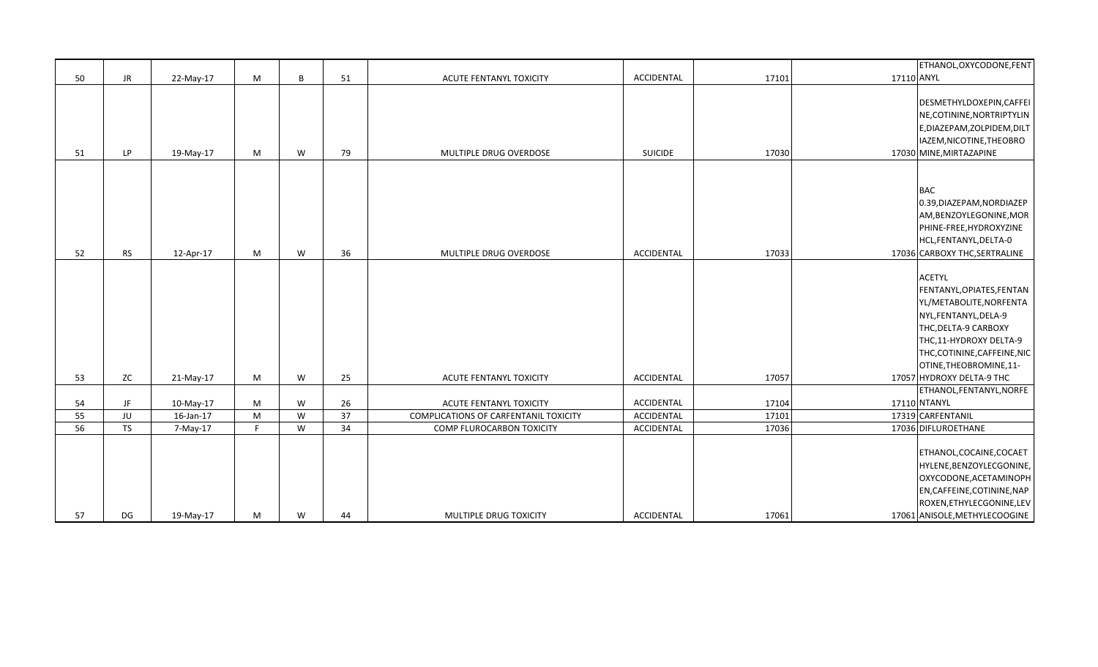|    |           |           |   |   |    |                                       |                |       | ETHANOL, OXYCODONE, FENT      |
|----|-----------|-----------|---|---|----|---------------------------------------|----------------|-------|-------------------------------|
| 50 | <b>JR</b> | 22-May-17 | M | B | 51 | ACUTE FENTANYL TOXICITY               | ACCIDENTAL     | 17101 | 17110 ANYL                    |
|    |           |           |   |   |    |                                       |                |       |                               |
|    |           |           |   |   |    |                                       |                |       | DESMETHYLDOXEPIN, CAFFEI      |
|    |           |           |   |   |    |                                       |                |       | NE, COTININE, NORTRIPTYLIN    |
|    |           |           |   |   |    |                                       |                |       | E, DIAZEPAM, ZOLPIDEM, DILT   |
|    |           |           |   |   |    |                                       |                |       | IAZEM, NICOTINE, THEOBRO      |
| 51 | LP.       | 19-May-17 | М | W | 79 | MULTIPLE DRUG OVERDOSE                | <b>SUICIDE</b> | 17030 | 17030 MINE, MIRTAZAPINE       |
|    |           |           |   |   |    |                                       |                |       |                               |
|    |           |           |   |   |    |                                       |                |       |                               |
|    |           |           |   |   |    |                                       |                |       | <b>BAC</b>                    |
|    |           |           |   |   |    |                                       |                |       | 0.39, DIAZEPAM, NORDIAZEP     |
|    |           |           |   |   |    |                                       |                |       | AM, BENZOYLEGONINE, MOR       |
|    |           |           |   |   |    |                                       |                |       | PHINE-FREE, HYDROXYZINE       |
|    |           |           |   |   |    |                                       |                |       | HCL, FENTANYL, DELTA-0        |
| 52 | <b>RS</b> | 12-Apr-17 | М | W | 36 | MULTIPLE DRUG OVERDOSE                | ACCIDENTAL     | 17033 | 17036 CARBOXY THC, SERTRALINE |
|    |           |           |   |   |    |                                       |                |       |                               |
|    |           |           |   |   |    |                                       |                |       | <b>ACETYL</b>                 |
|    |           |           |   |   |    |                                       |                |       | FENTANYL, OPIATES, FENTAN     |
|    |           |           |   |   |    |                                       |                |       | YL/METABOLITE, NORFENTA       |
|    |           |           |   |   |    |                                       |                |       | NYL, FENTANYL, DELA-9         |
|    |           |           |   |   |    |                                       |                |       | THC, DELTA-9 CARBOXY          |
|    |           |           |   |   |    |                                       |                |       | THC,11-HYDROXY DELTA-9        |
|    |           |           |   |   |    |                                       |                |       | THC,COTININE,CAFFEINE,NIC     |
|    |           |           |   |   |    |                                       |                |       | OTINE, THEOBROMINE, 11-       |
| 53 | ZC        | 21-May-17 | M | W | 25 | ACUTE FENTANYL TOXICITY               | ACCIDENTAL     | 17057 | 17057 HYDROXY DELTA-9 THC     |
|    |           |           |   |   |    |                                       |                |       | ETHANOL, FENTANYL, NORFE      |
| 54 | JF        | 10-May-17 | M | W | 26 | ACUTE FENTANYL TOXICITY               | ACCIDENTAL     | 17104 | 17110 NTANYL                  |
| 55 | JU        | 16-Jan-17 | M | W | 37 | COMPLICATIONS OF CARFENTANIL TOXICITY | ACCIDENTAL     | 17101 | 17319 CARFENTANIL             |
| 56 | <b>TS</b> | 7-May-17  | F | W | 34 | COMP FLUROCARBON TOXICITY             | ACCIDENTAL     | 17036 | 17036 DIFLUROETHANE           |
|    |           |           |   |   |    |                                       |                |       |                               |
|    |           |           |   |   |    |                                       |                |       | ETHANOL, COCAINE, COCAET      |
|    |           |           |   |   |    |                                       |                |       | HYLENE, BENZOYLECGONINE,      |
|    |           |           |   |   |    |                                       |                |       | OXYCODONE, ACETAMINOPH        |
|    |           |           |   |   |    |                                       |                |       | EN, CAFFEINE, COTININE, NAP   |
|    |           |           |   |   |    |                                       |                |       | ROXEN, ETHYLECGONINE, LEV     |
| 57 | DG        | 19-May-17 | М | W | 44 | MULTIPLE DRUG TOXICITY                | ACCIDENTAL     | 17061 | 17061 ANISOLE, METHYLECOOGINE |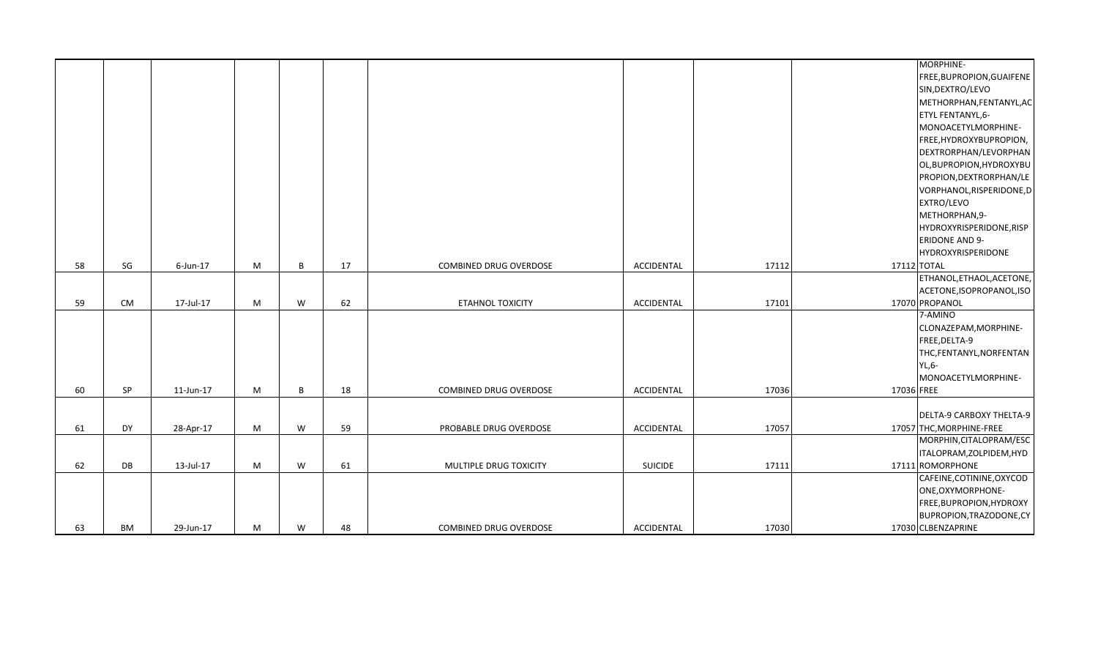|    |               |           |   |   |    |                        |                |       | MORPHINE-                 |
|----|---------------|-----------|---|---|----|------------------------|----------------|-------|---------------------------|
|    |               |           |   |   |    |                        |                |       | FREE, BUPROPION, GUAIFENE |
|    |               |           |   |   |    |                        |                |       | SIN, DEXTRO/LEVO          |
|    |               |           |   |   |    |                        |                |       | METHORPHAN, FENTANYL, AC  |
|    |               |           |   |   |    |                        |                |       | ETYL FENTANYL, 6-         |
|    |               |           |   |   |    |                        |                |       | MONOACETYLMORPHINE-       |
|    |               |           |   |   |    |                        |                |       | FREE, HYDROXYBUPROPION,   |
|    |               |           |   |   |    |                        |                |       | DEXTRORPHAN/LEVORPHAN     |
|    |               |           |   |   |    |                        |                |       | OL, BUPROPION, HYDROXYBU  |
|    |               |           |   |   |    |                        |                |       | PROPION, DEXTRORPHAN/LE   |
|    |               |           |   |   |    |                        |                |       | VORPHANOL, RISPERIDONE, D |
|    |               |           |   |   |    |                        |                |       | EXTRO/LEVO                |
|    |               |           |   |   |    |                        |                |       | METHORPHAN, 9-            |
|    |               |           |   |   |    |                        |                |       | HYDROXYRISPERIDONE, RISP  |
|    |               |           |   |   |    |                        |                |       | <b>ERIDONE AND 9-</b>     |
|    |               |           |   |   |    |                        |                |       | HYDROXYRISPERIDONE        |
| 58 | $\mathsf{SG}$ | 6-Jun-17  | M | B | 17 | COMBINED DRUG OVERDOSE | ACCIDENTAL     | 17112 | 17112 TOTAL               |
|    |               |           |   |   |    |                        |                |       | ETHANOL, ETHAOL, ACETONE, |
|    |               |           |   |   |    |                        |                |       | ACETONE, ISOPROPANOL, ISO |
| 59 | <b>CM</b>     | 17-Jul-17 | M | W | 62 | ETAHNOL TOXICITY       | ACCIDENTAL     | 17101 | 17070 PROPANOL            |
|    |               |           |   |   |    |                        |                |       | 7-AMINO                   |
|    |               |           |   |   |    |                        |                |       | CLONAZEPAM, MORPHINE-     |
|    |               |           |   |   |    |                        |                |       | FREE, DELTA-9             |
|    |               |           |   |   |    |                        |                |       | THC, FENTANYL, NORFENTAN  |
|    |               |           |   |   |    |                        |                |       | YL,6-                     |
|    |               |           |   |   |    |                        |                |       | MONOACETYLMORPHINE-       |
| 60 | SP            | 11-Jun-17 | M | B | 18 | COMBINED DRUG OVERDOSE | ACCIDENTAL     | 17036 | 17036 FREE                |
|    |               |           |   |   |    |                        |                |       |                           |
|    |               |           |   |   |    |                        |                |       | DELTA-9 CARBOXY THELTA-9  |
| 61 | DY            | 28-Apr-17 | M | W | 59 | PROBABLE DRUG OVERDOSE | ACCIDENTAL     | 17057 | 17057 THC, MORPHINE-FREE  |
|    |               |           |   |   |    |                        |                |       | MORPHIN, CITALOPRAM/ESC   |
|    |               |           |   |   |    |                        |                |       | ITALOPRAM, ZOLPIDEM, HYD  |
| 62 | DB            | 13-Jul-17 | M | W | 61 | MULTIPLE DRUG TOXICITY | <b>SUICIDE</b> | 17111 | 17111 ROMORPHONE          |
|    |               |           |   |   |    |                        |                |       | CAFEINE, COTININE, OXYCOD |
|    |               |           |   |   |    |                        |                |       | ONE, OXYMORPHONE-         |
|    |               |           |   |   |    |                        |                |       | FREE, BUPROPION, HYDROXY  |
|    |               |           |   |   |    |                        |                |       | BUPROPION, TRAZODONE, CY  |
| 63 | BM            | 29-Jun-17 | M | W | 48 | COMBINED DRUG OVERDOSE | ACCIDENTAL     | 17030 | 17030 CLBENZAPRINE        |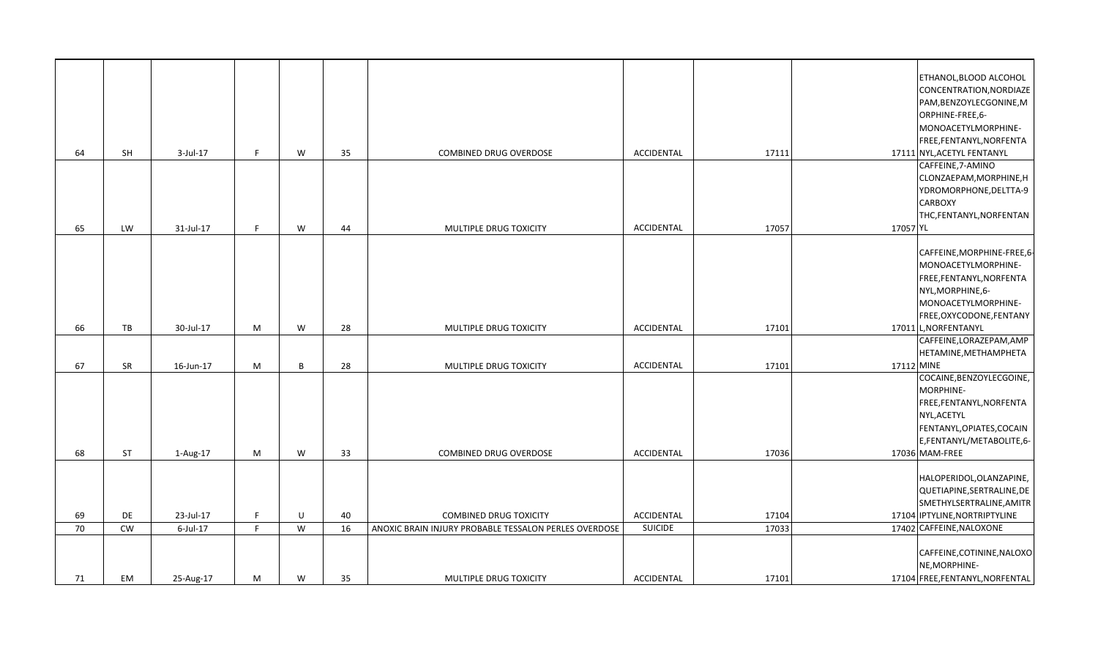|    |           |             |              |   |    |                                                       |                   |       |            | ETHANOL, BLOOD ALCOHOL          |
|----|-----------|-------------|--------------|---|----|-------------------------------------------------------|-------------------|-------|------------|---------------------------------|
|    |           |             |              |   |    |                                                       |                   |       |            | CONCENTRATION, NORDIAZE         |
|    |           |             |              |   |    |                                                       |                   |       |            | PAM, BENZOYLECGONINE, M         |
|    |           |             |              |   |    |                                                       |                   |       |            | ORPHINE-FREE,6-                 |
|    |           |             |              |   |    |                                                       |                   |       |            | MONOACETYLMORPHINE-             |
|    |           |             |              |   |    |                                                       |                   |       |            | FREE, FENTANYL, NORFENTA        |
| 64 | SH        | $3$ -Jul-17 | F            | W | 35 | COMBINED DRUG OVERDOSE                                | ACCIDENTAL        | 17111 |            | 17111 NYL, ACETYL FENTANYL      |
|    |           |             |              |   |    |                                                       |                   |       |            | CAFFEINE, 7-AMINO               |
|    |           |             |              |   |    |                                                       |                   |       |            | CLONZAEPAM, MORPHINE, H         |
|    |           |             |              |   |    |                                                       |                   |       |            | YDROMORPHONE, DELTTA-9          |
|    |           |             |              |   |    |                                                       |                   |       |            | <b>CARBOXY</b>                  |
|    |           |             |              |   |    |                                                       |                   |       |            | THC, FENTANYL, NORFENTAN        |
|    |           |             |              |   |    |                                                       | <b>ACCIDENTAL</b> | 17057 |            |                                 |
| 65 | LW        | 31-Jul-17   | F            | W | 44 | MULTIPLE DRUG TOXICITY                                |                   |       | 17057 YL   |                                 |
|    |           |             |              |   |    |                                                       |                   |       |            | CAFFEINE, MORPHINE-FREE, 6-     |
|    |           |             |              |   |    |                                                       |                   |       |            | MONOACETYLMORPHINE-             |
|    |           |             |              |   |    |                                                       |                   |       |            |                                 |
|    |           |             |              |   |    |                                                       |                   |       |            | FREE, FENTANYL, NORFENTA        |
|    |           |             |              |   |    |                                                       |                   |       |            | NYL, MORPHINE, 6-               |
|    |           |             |              |   |    |                                                       |                   |       |            | MONOACETYLMORPHINE-             |
|    |           |             |              |   |    |                                                       |                   |       |            | FREE, OXYCODONE, FENTANY        |
| 66 | TB        | 30-Jul-17   | M            | W | 28 | MULTIPLE DRUG TOXICITY                                | ACCIDENTAL        | 17101 |            | 17011 L, NORFENTANYL            |
|    |           |             |              |   |    |                                                       |                   |       |            | CAFFEINE, LORAZEPAM, AMP        |
|    |           |             |              |   |    |                                                       |                   |       |            | HETAMINE, METHAMPHETA           |
| 67 | SR        | 16-Jun-17   | M            | B | 28 | MULTIPLE DRUG TOXICITY                                | ACCIDENTAL        | 17101 | 17112 MINE |                                 |
|    |           |             |              |   |    |                                                       |                   |       |            | COCAINE, BENZOYLECGOINE,        |
|    |           |             |              |   |    |                                                       |                   |       |            | MORPHINE-                       |
|    |           |             |              |   |    |                                                       |                   |       |            | FREE, FENTANYL, NORFENTA        |
|    |           |             |              |   |    |                                                       |                   |       |            | NYL, ACETYL                     |
|    |           |             |              |   |    |                                                       |                   |       |            | FENTANYL, OPIATES, COCAIN       |
|    |           |             |              |   |    |                                                       |                   |       |            | E,FENTANYL/METABOLITE,6-        |
| 68 | <b>ST</b> | 1-Aug-17    | M            | W | 33 | <b>COMBINED DRUG OVERDOSE</b>                         | ACCIDENTAL        | 17036 |            | 17036 MAM-FREE                  |
|    |           |             |              |   |    |                                                       |                   |       |            |                                 |
|    |           |             |              |   |    |                                                       |                   |       |            | HALOPERIDOL, OLANZAPINE,        |
|    |           |             |              |   |    |                                                       |                   |       |            | QUETIAPINE, SERTRALINE, DE      |
|    |           |             |              |   |    |                                                       |                   |       |            | SMETHYLSERTRALINE, AMITR        |
| 69 | DE        | 23-Jul-17   | $\mathsf{F}$ | U | 40 | <b>COMBINED DRUG TOXICITY</b>                         | ACCIDENTAL        | 17104 |            | 17104 IPTYLINE, NORTRIPTYLINE   |
| 70 | <b>CW</b> | $6$ -Jul-17 | F            | W | 16 | ANOXIC BRAIN INJURY PROBABLE TESSALON PERLES OVERDOSE | <b>SUICIDE</b>    | 17033 |            | 17402 CAFFEINE, NALOXONE        |
|    |           |             |              |   |    |                                                       |                   |       |            |                                 |
|    |           |             |              |   |    |                                                       |                   |       |            | CAFFEINE, COTININE, NALOXO      |
|    |           |             |              |   |    |                                                       |                   |       |            | NE, MORPHINE-                   |
| 71 | EM        | 25-Aug-17   | M            | W | 35 | MULTIPLE DRUG TOXICITY                                | ACCIDENTAL        | 17101 |            | 17104 FREE, FENTANYL, NORFENTAL |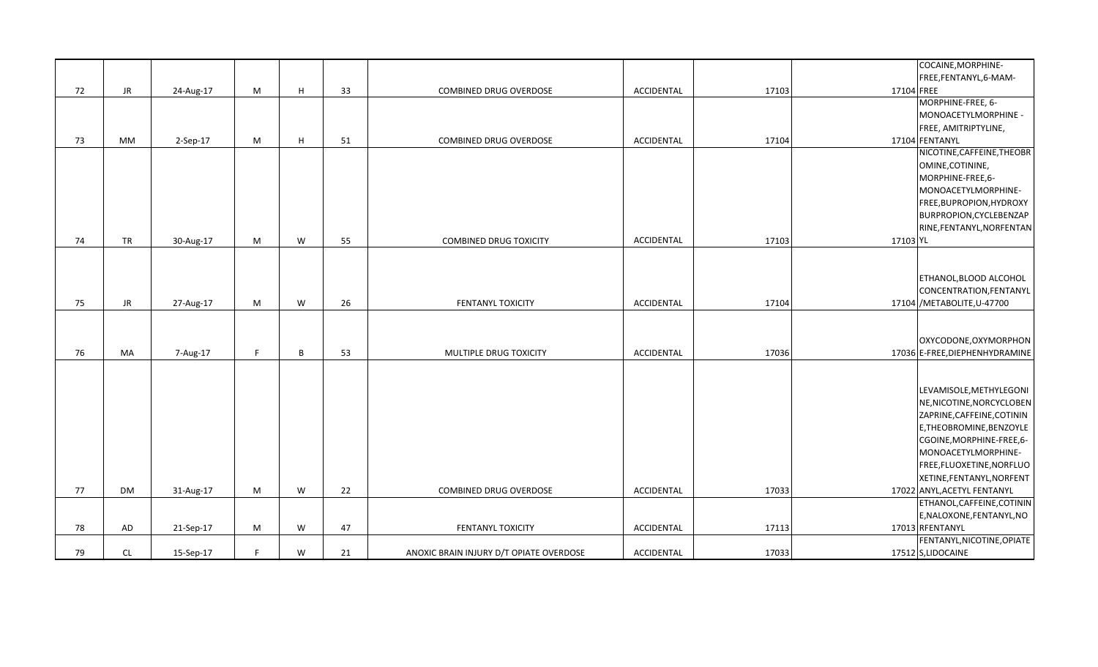|    |           |           |    |   |    |                                         |            |       |            | COCAINE, MORPHINE-                                     |
|----|-----------|-----------|----|---|----|-----------------------------------------|------------|-------|------------|--------------------------------------------------------|
|    |           |           |    |   |    |                                         |            |       |            | FREE,FENTANYL,6-MAM-                                   |
| 72 | JR        | 24-Aug-17 | M  | H | 33 | COMBINED DRUG OVERDOSE                  | ACCIDENTAL | 17103 | 17104 FREE |                                                        |
|    |           |           |    |   |    |                                         |            |       |            | MORPHINE-FREE, 6-                                      |
|    |           |           |    |   |    |                                         |            |       |            | MONOACETYLMORPHINE -                                   |
|    |           |           |    |   |    |                                         |            |       |            | FREE, AMITRIPTYLINE,                                   |
| 73 | MM        | 2-Sep-17  | M  | H | 51 | COMBINED DRUG OVERDOSE                  | ACCIDENTAL | 17104 |            | 17104 FENTANYL                                         |
|    |           |           |    |   |    |                                         |            |       |            | NICOTINE, CAFFEINE, THEOBR                             |
|    |           |           |    |   |    |                                         |            |       |            | OMINE, COTININE,                                       |
|    |           |           |    |   |    |                                         |            |       |            | MORPHINE-FREE,6-                                       |
|    |           |           |    |   |    |                                         |            |       |            | MONOACETYLMORPHINE-                                    |
|    |           |           |    |   |    |                                         |            |       |            | FREE, BUPROPION, HYDROXY                               |
|    |           |           |    |   |    |                                         |            |       |            | BURPROPION, CYCLEBENZAP                                |
|    |           |           |    |   |    |                                         |            |       |            | RINE, FENTANYL, NORFENTAN                              |
| 74 | <b>TR</b> | 30-Aug-17 | M  | W | 55 | COMBINED DRUG TOXICITY                  | ACCIDENTAL | 17103 | 17103 YL   |                                                        |
|    |           |           |    |   |    |                                         |            |       |            |                                                        |
|    |           |           |    |   |    |                                         |            |       |            |                                                        |
|    |           |           |    |   |    |                                         |            |       |            | ETHANOL, BLOOD ALCOHOL                                 |
|    |           |           |    |   |    |                                         |            |       |            | CONCENTRATION, FENTANYL                                |
| 75 | JR.       | 27-Aug-17 | M  | W | 26 | FENTANYL TOXICITY                       | ACCIDENTAL | 17104 |            | 17104 / METABOLITE, U-47700                            |
|    |           |           |    |   |    |                                         |            |       |            |                                                        |
|    |           |           |    |   |    |                                         |            |       |            |                                                        |
|    |           |           |    |   |    |                                         |            |       |            | OXYCODONE, OXYMORPHON                                  |
| 76 | <b>MA</b> | 7-Aug-17  | F  | B | 53 | MULTIPLE DRUG TOXICITY                  | ACCIDENTAL | 17036 |            | 17036 E-FREE, DIEPHENHYDRAMINE                         |
|    |           |           |    |   |    |                                         |            |       |            |                                                        |
|    |           |           |    |   |    |                                         |            |       |            |                                                        |
|    |           |           |    |   |    |                                         |            |       |            | LEVAMISOLE, METHYLEGONI                                |
|    |           |           |    |   |    |                                         |            |       |            | NE, NICOTINE, NORCYCLOBEN                              |
|    |           |           |    |   |    |                                         |            |       |            |                                                        |
|    |           |           |    |   |    |                                         |            |       |            | ZAPRINE, CAFFEINE, COTININ<br>E, THEOBROMINE, BENZOYLE |
|    |           |           |    |   |    |                                         |            |       |            |                                                        |
|    |           |           |    |   |    |                                         |            |       |            | CGOINE, MORPHINE-FREE, 6-                              |
|    |           |           |    |   |    |                                         |            |       |            | MONOACETYLMORPHINE-                                    |
|    |           |           |    |   |    |                                         |            |       |            | FREE,FLUOXETINE,NORFLUO                                |
|    |           |           |    |   |    |                                         |            |       |            | XETINE, FENTANYL, NORFENT                              |
| 77 | DM        | 31-Aug-17 | M  | W | 22 | COMBINED DRUG OVERDOSE                  | ACCIDENTAL | 17033 |            | 17022 ANYL, ACETYL FENTANYL                            |
|    |           |           |    |   |    |                                         |            |       |            | ETHANOL, CAFFEINE, COTININ                             |
|    |           |           |    |   |    |                                         |            |       |            | E, NALOXONE, FENTANYL, NO                              |
| 78 | AD        | 21-Sep-17 | M  | W | 47 | FENTANYL TOXICITY                       | ACCIDENTAL | 17113 |            | 17013 RFENTANYL                                        |
|    |           |           |    |   |    |                                         |            |       |            | FENTANYL, NICOTINE, OPIATE                             |
| 79 | <b>CL</b> | 15-Sep-17 | F. | W | 21 | ANOXIC BRAIN INJURY D/T OPIATE OVERDOSE | ACCIDENTAL | 17033 |            | 17512 S,LIDOCAINE                                      |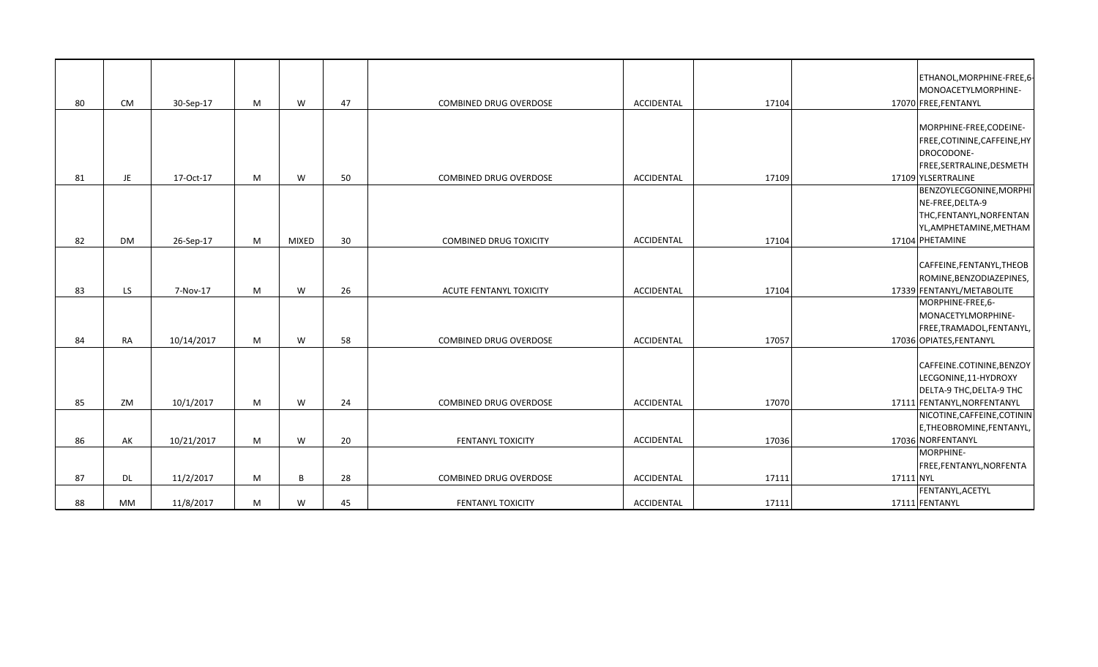|    |           |            |   |              |    |                               |                   |       |           | ETHANOL, MORPHINE-FREE, 6-<br>MONOACETYLMORPHINE-                                                            |
|----|-----------|------------|---|--------------|----|-------------------------------|-------------------|-------|-----------|--------------------------------------------------------------------------------------------------------------|
| 80 | CM        | 30-Sep-17  | M | W            | 47 | COMBINED DRUG OVERDOSE        | ACCIDENTAL        | 17104 |           | 17070 FREE, FENTANYL                                                                                         |
|    |           |            |   |              |    |                               |                   |       |           | MORPHINE-FREE, CODEINE-<br>FREE, COTININE, CAFFEINE, HY<br>DROCODONE-                                        |
|    |           |            |   |              |    |                               |                   |       |           | FREE, SERTRALINE, DESMETH                                                                                    |
| 81 | JE        | 17-Oct-17  | M | W            | 50 | <b>COMBINED DRUG OVERDOSE</b> | ACCIDENTAL        | 17109 |           | 17109 YLSERTRALINE                                                                                           |
|    |           |            |   |              |    |                               |                   |       |           | BENZOYLECGONINE, MORPHI<br>NE-FREE, DELTA-9<br>THC,FENTANYL,NORFENTAN<br>YL,AMPHETAMINE,METHAM               |
| 82 | <b>DM</b> | 26-Sep-17  | M | <b>MIXED</b> | 30 | <b>COMBINED DRUG TOXICITY</b> | <b>ACCIDENTAL</b> | 17104 |           | 17104 PHETAMINE                                                                                              |
| 83 | LS.       | 7-Nov-17   | M | W            | 26 | ACUTE FENTANYL TOXICITY       | ACCIDENTAL        | 17104 |           | CAFFEINE, FENTANYL, THEOB<br>ROMINE, BENZODIAZEPINES,<br>17339 FENTANYL/METABOLITE<br>MORPHINE-FREE,6-       |
| 84 | RA        | 10/14/2017 | M | W            | 58 | COMBINED DRUG OVERDOSE        | ACCIDENTAL        | 17057 |           | MONACETYLMORPHINE-<br>FREE, TRAMADOL, FENTANYL,<br>17036 OPIATES, FENTANYL                                   |
| 85 | ZM        | 10/1/2017  | M | W            | 24 | <b>COMBINED DRUG OVERDOSE</b> | ACCIDENTAL        | 17070 |           | CAFFEINE.COTININE, BENZOY<br>LECGONINE,11-HYDROXY<br>DELTA-9 THC, DELTA-9 THC<br>17111 FENTANYL, NORFENTANYL |
|    |           |            |   |              |    |                               |                   |       |           | NICOTINE, CAFFEINE, COTININ                                                                                  |
| 86 | AK        | 10/21/2017 | M | W            | 20 | <b>FENTANYL TOXICITY</b>      | ACCIDENTAL        | 17036 |           | E, THEOBROMINE, FENTANYL,<br>17036 NORFENTANYL                                                               |
| 87 | <b>DL</b> | 11/2/2017  | М | B            | 28 | COMBINED DRUG OVERDOSE        | ACCIDENTAL        | 17111 | 17111 NYL | MORPHINE-<br>FREE, FENTANYL, NORFENTA                                                                        |
|    |           |            |   |              |    |                               |                   |       |           | FENTANYL, ACETYL                                                                                             |
| 88 | MM        | 11/8/2017  | M | W            | 45 | FENTANYL TOXICITY             | ACCIDENTAL        | 17111 |           | 17111 FENTANYL                                                                                               |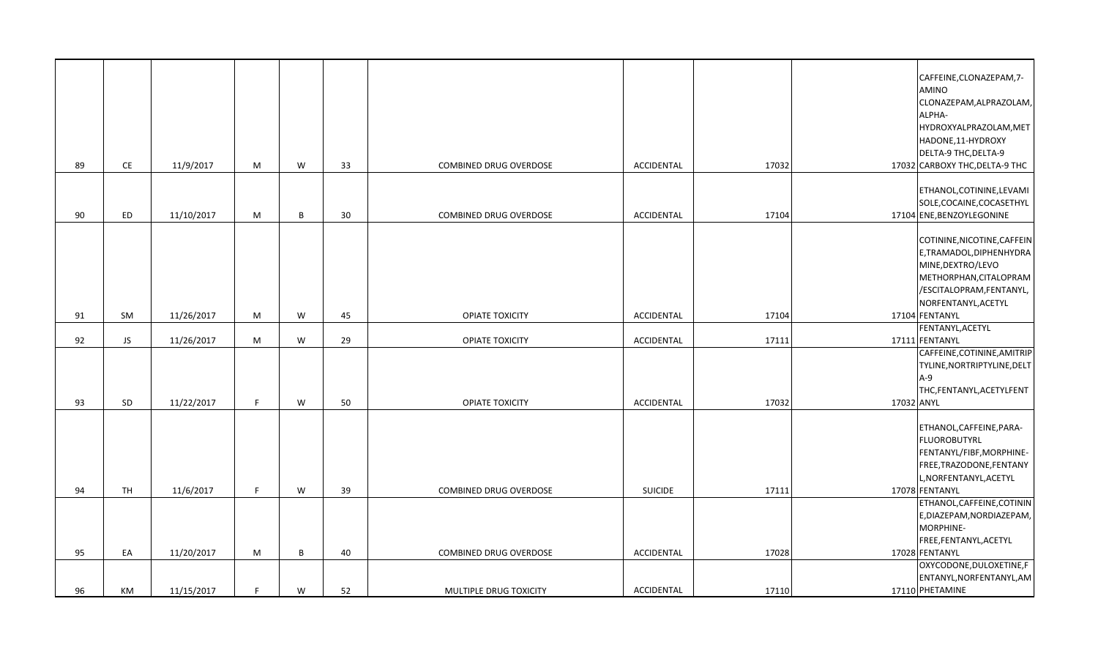| 89 | $\mathsf{CE}% _{\mathcal{A}}$ | 11/9/2017  | M  | W            | 33 | <b>COMBINED DRUG OVERDOSE</b> | ACCIDENTAL        | 17032 | CAFFEINE, CLONAZEPAM, 7-<br>AMINO<br>CLONAZEPAM, ALPRAZOLAM,<br>ALPHA-<br>HYDROXYALPRAZOLAM, MET<br>HADONE, 11-HYDROXY<br>DELTA-9 THC, DELTA-9<br>17032 CARBOXY THC, DELTA-9 THC |
|----|-------------------------------|------------|----|--------------|----|-------------------------------|-------------------|-------|----------------------------------------------------------------------------------------------------------------------------------------------------------------------------------|
| 90 | ED                            | 11/10/2017 | M  | B            | 30 | COMBINED DRUG OVERDOSE        | ACCIDENTAL        | 17104 | ETHANOL, COTININE, LEVAMI<br>SOLE, COCAINE, COCASETHYL<br>17104 ENE, BENZOYLEGONINE                                                                                              |
|    |                               |            |    |              |    |                               |                   |       | COTININE, NICOTINE, CAFFEIN<br>E,TRAMADOL,DIPHENHYDRA<br>MINE, DEXTRO/LEVO<br>METHORPHAN, CITALOPRAM<br>/ESCITALOPRAM, FENTANYL,<br>NORFENTANYL, ACETYL                          |
| 91 | SM                            | 11/26/2017 | M  | W            | 45 | OPIATE TOXICITY               | ACCIDENTAL        | 17104 | 17104 FENTANYL<br>FENTANYL, ACETYL                                                                                                                                               |
| 92 | JS                            | 11/26/2017 | M  | W            | 29 | OPIATE TOXICITY               | <b>ACCIDENTAL</b> | 17111 | 17111 FENTANYL                                                                                                                                                                   |
| 93 | SD                            | 11/22/2017 | F. | W            | 50 | <b>OPIATE TOXICITY</b>        | <b>ACCIDENTAL</b> | 17032 | CAFFEINE, COTININE, AMITRIP<br>TYLINE, NORTRIPTYLINE, DELT<br>$A-9$<br>THC,FENTANYL,ACETYLFENT<br>17032 ANYL                                                                     |
| 94 | TH                            | 11/6/2017  | F  | W            | 39 | <b>COMBINED DRUG OVERDOSE</b> | <b>SUICIDE</b>    | 17111 | ETHANOL, CAFFEINE, PARA-<br>FLUOROBUTYRL<br>FENTANYL/FIBF, MORPHINE-<br>FREE, TRAZODONE, FENTANY<br>L, NORFENTANYL, ACETYL<br>17078 FENTANYL                                     |
|    |                               |            |    |              |    |                               | <b>ACCIDENTAL</b> | 17028 | ETHANOL, CAFFEINE, COTININ<br>E, DIAZEPAM, NORDIAZEPAM,<br>MORPHINE-<br>FREE, FENTANYL, ACETYL<br>17028 FENTANYL                                                                 |
| 95 | EA                            | 11/20/2017 | M  | $\, {\sf B}$ | 40 | <b>COMBINED DRUG OVERDOSE</b> |                   |       | OXYCODONE, DULOXETINE, F                                                                                                                                                         |
| 96 | KM                            | 11/15/2017 | E  | W            | 52 | MULTIPLE DRUG TOXICITY        | ACCIDENTAL        | 17110 | ENTANYL, NORFENTANYL, AM<br>17110 PHETAMINE                                                                                                                                      |